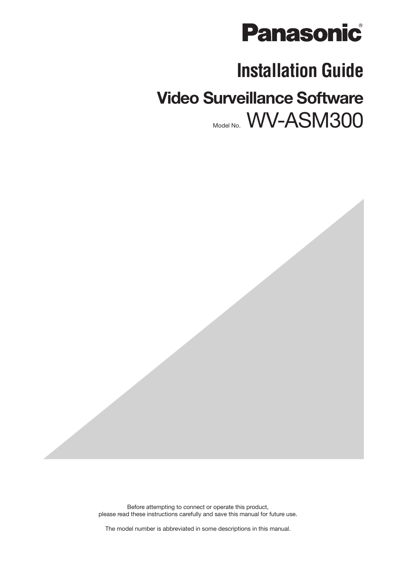

# **Installation Guide**

# **Video Surveillance Software** Model No. WV-ASM300

Before attempting to connect or operate this product, please read these instructions carefully and save this manual for future use.

The model number is abbreviated in some descriptions in this manual.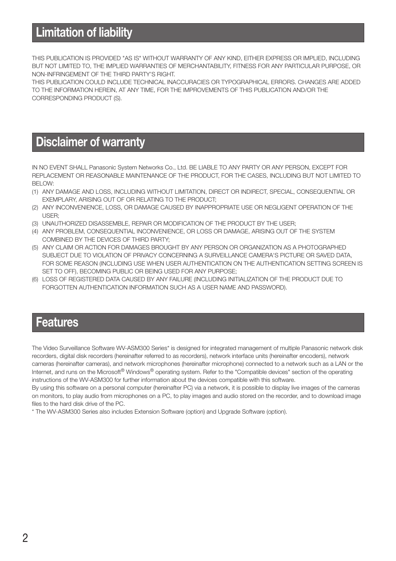### **Limitation of liability**

THIS PUBLICATION IS PROVIDED "AS IS" WITHOUT WARRANTY OF ANY KIND, EITHER EXPRESS OR IMPLIED, INCLUDING BUT NOT LIMITED TO, THE IMPLIED WARRANTIES OF MERCHANTABILITY, FITNESS FOR ANY PARTICULAR PURPOSE, OR NON-INFRINGEMENT OF THE THIRD PARTY'S RIGHT.

THIS PUBLICATION COULD INCLUDE TECHNICAL INACCURACIES OR TYPOGRAPHICAL ERRORS. CHANGES ARE ADDED TO THE INFORMATION HEREIN, AT ANY TIME, FOR THE IMPROVEMENTS OF THIS PUBLICATION AND/OR THE CORRESPONDING PRODUCT (S).

### **Disclaimer of warranty**

IN NO EVENT SHALL Panasonic System Networks Co., Ltd. BE LIABLE TO ANY PARTY OR ANY PERSON, EXCEPT FOR REPLACEMENT OR REASONABLE MAINTENANCE OF THE PRODUCT, FOR THE CASES, INCLUDING BUT NOT LIMITED TO BELOW:

- (1) ANY DAMAGE AND LOSS, INCLUDING WITHOUT LIMITATION, DIRECT OR INDIRECT, SPECIAL, CONSEQUENTIAL OR EXEMPLARY, ARISING OUT OF OR RELATING TO THE PRODUCT;
- (2) ANY INCONVENIENCE, LOSS, OR DAMAGE CAUSED BY INAPPROPRIATE USE OR NEGLIGENT OPERATION OF THE USER;
- (3) UNAUTHORIZED DISASSEMBLE, REPAIR OR MODIFICATION OF THE PRODUCT BY THE USER;
- (4) ANY PROBLEM, CONSEQUENTIAL INCONVENIENCE, OR LOSS OR DAMAGE, ARISING OUT OF THE SYSTEM COMBINED BY THE DEVICES OF THIRD PARTY;
- (5) ANY CLAIM OR ACTION FOR DAMAGES BROUGHT BY ANY PERSON OR ORGANIZATION AS A PHOTOGRAPHED SUBJECT DUE TO VIOLATION OF PRIVACY CONCERNING A SURVEILLANCE CAMERA'S PICTURE OR SAVED DATA, FOR SOME REASON (INCLUDING USE WHEN USER AUTHENTICATION ON THE AUTHENTICATION SETTING SCREEN IS SET TO OFF), BECOMING PUBLIC OR BEING USED FOR ANY PURPOSE;
- (6) LOSS OF REGISTERED DATA CAUSED BY ANY FAILURE (INCLUDING INITIALIZATION OF THE PRODUCT DUE TO FORGOTTEN AUTHENTICATION INFORMATION SUCH AS A USER NAME AND PASSWORD).

### **Features**

The Video Surveillance Software WV-ASM300 Series\* is designed for integrated management of multiple Panasonic network disk recorders, digital disk recorders (hereinafter referred to as recorders), network interface units (hereinafter encoders), network cameras (hereinafter cameras), and network microphones (hereinafter microphone) connected to a network such as a LAN or the Internet, and runs on the Microsoft® Windows® operating system. Refer to the "Compatible devices" section of the operating instructions of the WV-ASM300 for further information about the devices compatible with this software.

By using this software on a personal computer (hereinafter PC) via a network, it is possible to display live images of the cameras on monitors, to play audio from microphones on a PC, to play images and audio stored on the recorder, and to download image files to the hard disk drive of the PC.

\* The WV-ASM300 Series also includes Extension Software (option) and Upgrade Software (option).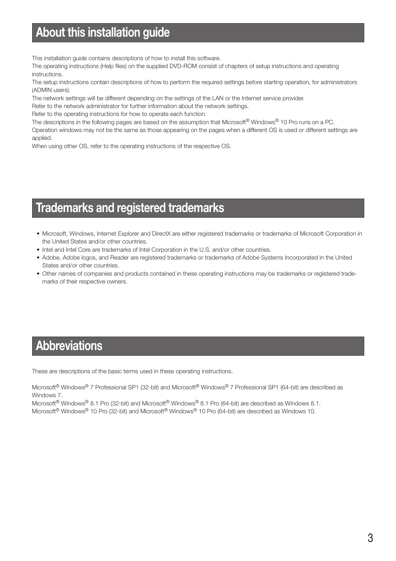### **About this installation guide**

This installation guide contains descriptions of how to install this software.

The operating instructions (Help files) on the supplied DVD-ROM consist of chapters of setup instructions and operating instructions.

The setup instructions contain descriptions of how to perform the required settings before starting operation, for administrators (ADMIN users).

The network settings will be different depending on the settings of the LAN or the Internet service provider.

Refer to the network administrator for further information about the network settings.

Refer to the operating instructions for how to operate each function.

The descriptions in the following pages are based on the assumption that Microsoft® Windows® 10 Pro runs on a PC.

Operation windows may not be the same as those appearing on the pages when a different OS is used or different settings are applied.

When using other OS, refer to the operating instructions of the respective OS.

### **Trademarks and registered trademarks**

- Microsoft, Windows, Internet Explorer and DirectX are either registered trademarks or trademarks of Microsoft Corporation in the United States and/or other countries.
- Intel and Intel Core are trademarks of Intel Corporation in the U.S. and/or other countries.
- Adobe, Adobe logos, and Reader are registered trademarks or trademarks of Adobe Systems Incorporated in the United States and/or other countries.
- Other names of companies and products contained in these operating instructions may be trademarks or registered trademarks of their respective owners.

### **Abbreviations**

These are descriptions of the basic terms used in these operating instructions.

Microsoft® Windows® 7 Professional SP1 (32-bit) and Microsoft® Windows® 7 Professional SP1 (64-bit) are described as Windows 7.

Microsoft<sup>®</sup> Windows<sup>®</sup> 8.1 Pro (32-bit) and Microsoft<sup>®</sup> Windows<sup>®</sup> 8.1 Pro (64-bit) are described as Windows 8.1. Microsoft® Windows® 10 Pro (32-bit) and Microsoft® Windows® 10 Pro (64-bit) are described as Windows 10.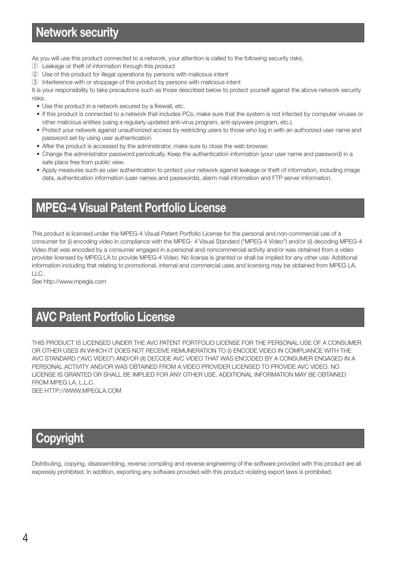As you will use this product connected to a network, your attention is called to the following security risks.

- q Leakage or theft of information through this product
- (2) Use of this product for illegal operations by persons with malicious intent
- e Interference with or stoppage of this product by persons with malicious intent

It is your responsibility to take precautions such as those described below to protect yourself against the above network security risks.

- Use this product in a network secured by a firewall, etc.
- If this product is connected to a network that includes PCs, make sure that the system is not infected by computer viruses or other malicious entities (using a regularly updated anti-virus program, anti-spyware program, etc.).
- Protect your network against unauthorized access by restricting users to those who log in with an authorized user name and password set by using user authentication.
- After the product is accessed by the administrator, make sure to close the web browser.
- Change the administrator password periodically. Keep the authentication information (your user name and password) in a safe place free from public view.
- Apply measures such as user authentication to protect your network against leakage or theft of information, including image data, authentication information (user names and passwords), alarm mail information and FTP server information.

## **MPEG-4 Visual Patent Portfolio License**

This product is licensed under the MPEG-4 Visual Patent Portfolio License for the personal and non-commercial use of a consumer for (i) encoding video in compliance with the MPEG- 4 Visual Standard ("MPEG-4 Video") and/or (ii) decoding MPEG-4 Video that was encoded by a consumer engaged in a personal and noncommercial activity and/or was obtained from a video provider licensed by MPEG LA to provide MPEG-4 Video. No license is granted or shall be implied for any other use. Additional information including that relating to promotional, internal and commercial uses and licensing may be obtained from MPEG LA, LLC.

See http://www.mpegla.com

## **AVC Patent Portfolio License**

THIS PRODUCT IS LICENSED UNDER THE AVC PATENT PORTFOLIO LICENSE FOR THE PERSONAL USE OF A CONSUMER OR OTHER USES IN WHICH IT DOES NOT RECEIVE REMUNERATION TO (I) ENCODE VIDEO IN COMPLIANCE WITH THE AVC STANDARD ("AVC VIDEO") AND/OR (II) DECODE AVC VIDEO THAT WAS ENCODED BY A CONSUMER ENGAGED IN A PERSONAL ACTIVITY AND/OR WAS OBTAINED FROM A VIDEO PROVIDER LICENSED TO PROVIDE AVC VIDEO. NO LICENSE IS GRANTED OR SHALL BE IMPLIED FOR ANY OTHER USE. ADDITIONAL INFORMATION MAY BE OBTAINED FROM MPEG LA, L.L.C.

SEE HTTP://WWW.MPEGLA.COM

### **Copyright**

Distributing, copying, disassembling, reverse compiling and reverse engineering of the software provided with this product are all expressly prohibited. In addition, exporting any software provided with this product violating export laws is prohibited.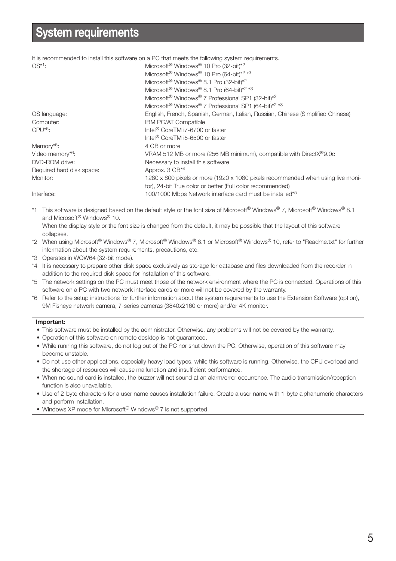### **System requirements**

It is recommended to install this software on a PC that meets the following system requirements. OS<sup>\*1</sup>: Microsoft<sup>®</sup> Windows<sup>®</sup> 10 Pro (32-bit)<sup>\*2</sup> Microsoft<sup>®</sup> Windows<sup>®</sup> 10 Pro (64-bit)<sup>\*2 \*3</sup> Microsoft® Windows® 8.1 Pro (32-bit)\*2 Microsoft<sup>®</sup> Windows<sup>®</sup> 8.1 Pro (64-bit)<sup>\*2 \*3</sup> Microsoft® Windows® 7 Professional SP1 (32-bit)\*2 Microsoft<sup>®</sup> Windows<sup>®</sup> 7 Professional SP1 (64-bit)<sup>\*2 \*3</sup> OS language: English, French, Spanish, German, Italian, Russian, Chinese (Simplified Chinese) Computer: **IBM PC/AT Compatible** CPU\*6: Intel® CoreTM i7-6700 or faster Intel® CoreTM i5-6500 or faster Memory<sup>\*6</sup>: 4 GB or more Video memory\*6: video memory\*6: VRAM 512 MB or more (256 MB minimum), compatible with DirectX<sup>®</sup>9.0c DVD-ROM drive: Necessary to install this software Required hard disk space: Approx. 3 GB<sup>\*4</sup> Monitor: 1280 x 800 pixels or more (1920 x 1080 pixels recommended when using live monitor), 24-bit True color or better (Full color recommended) Interface: 100/1000 Mbps Network interface card must be installed\*<sup>5</sup>

\*1 This software is designed based on the default style or the font size of Microsoft® Windows® 7, Microsoft® Windows® 8.1 and Microsoft® Windows® 10.

When the display style or the font size is changed from the default, it may be possible that the layout of this software collapses.

- \*2 When using Microsoft® Windows® 7, Microsoft® Windows® 8.1 or Microsoft® Windows® 10, refer to "Readme.txt" for further information about the system requirements, precautions, etc.
- \*3 Operates in WOW64 (32-bit mode).
- \*4 It is necessary to prepare other disk space exclusively as storage for database and files downloaded from the recorder in addition to the required disk space for installation of this software.
- \*5 The network settings on the PC must meet those of the network environment where the PC is connected. Operations of this software on a PC with two network interface cards or more will not be covered by the warranty.
- \*6 Refer to the setup instructions for further information about the system requirements to use the Extension Software (option), 9M Fisheye network camera, 7-series cameras (3840x2160 or more) and/or 4K monitor.

#### **Important:**

- This software must be installed by the administrator. Otherwise, any problems will not be covered by the warranty.
- Operation of this software on remote desktop is not guaranteed.
- While running this software, do not log out of the PC nor shut down the PC. Otherwise, operation of this software may become unstable.
- Do not use other applications, especially heavy load types, while this software is running. Otherwise, the CPU overload and the shortage of resources will cause malfunction and insufficient performance.
- When no sound card is installed, the buzzer will not sound at an alarm/error occurrence. The audio transmission/reception function is also unavailable.
- Use of 2-byte characters for a user name causes installation failure. Create a user name with 1-byte alphanumeric characters and perform installation.
- Windows XP mode for Microsoft<sup>®</sup> Windows<sup>®</sup> 7 is not supported.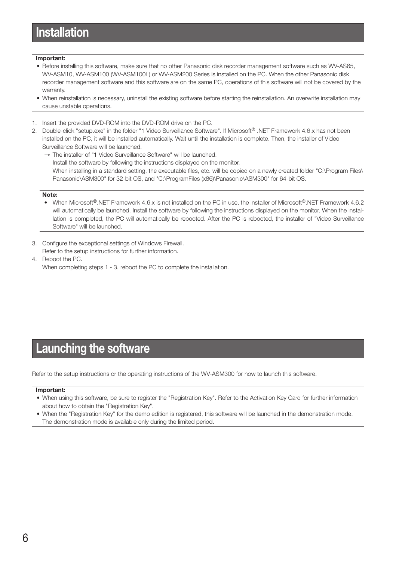### **Installation**

#### **Important:**

- Before installing this software, make sure that no other Panasonic disk recorder management software such as WV-AS65, WV-ASM10, WV-ASM100 (WV-ASM100L) or WV-ASM200 Series is installed on the PC. When the other Panasonic disk recorder management software and this software are on the same PC, operations of this software will not be covered by the warranty.
- When reinstallation is necessary, uninstall the existing software before starting the reinstallation. An overwrite installation may cause unstable operations.
- 1. Insert the provided DVD-ROM into the DVD-ROM drive on the PC.
- 2. Double-click "setup.exe" in the folder "1 Video Surveillance Software". If Microsoft® .NET Framework 4.6.x has not been installed on the PC, it will be installed automatically. Wait until the installation is complete. Then, the installer of Video Surveillance Software will be launched.
	- → The installer of "1 Video Surveillance Software" will be launched. Install the software by following the instructions displayed on the monitor. When installing in a standard setting, the executable files, etc. will be copied on a newly created folder "C:\Program Files\ Panasonic\ASM300" for 32-bit OS, and "C:\ProgramFiles (x86)\Panasonic\ASM300" for 64-bit OS.

#### **Note:**

- When Microsoft®.NET Framework 4.6.x is not installed on the PC in use, the installer of Microsoft®.NET Framework 4.6.2 will automatically be launched. Install the software by following the instructions displayed on the monitor. When the installation is completed, the PC will automatically be rebooted. After the PC is rebooted, the installer of "Video Surveillance Software" will be launched.
- 3. Configure the exceptional settings of Windows Firewall. Refer to the setup instructions for further information.
- 4. Reboot the PC. When completing steps 1 - 3, reboot the PC to complete the installation.

### **Launching the software**

Refer to the setup instructions or the operating instructions of the WV-ASM300 for how to launch this software.

#### **Important:**

- When using this software, be sure to register the "Registration Key". Refer to the Activation Key Card for further information about how to obtain the "Registration Key".
- When the "Registration Key" for the demo edition is registered, this software will be launched in the demonstration mode. The demonstration mode is available only during the limited period.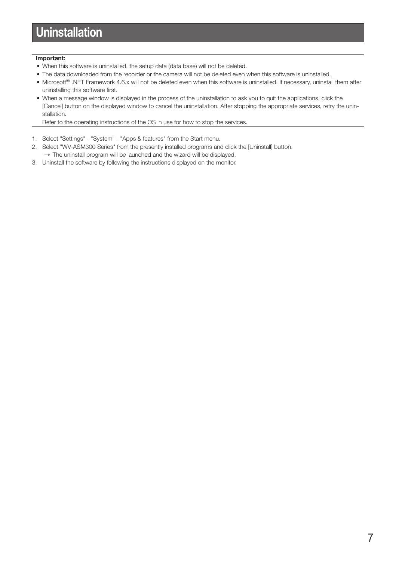#### **Important:**

- When this software is uninstalled, the setup data (data base) will not be deleted.
- The data downloaded from the recorder or the camera will not be deleted even when this software is uninstalled.
- Microsoft<sup>®</sup> .NET Framework 4.6.x will not be deleted even when this software is uninstalled. If necessary, uninstall them after uninstalling this software first.
- When a message window is displayed in the process of the uninstallation to ask you to quit the applications, click the [Cancel] button on the displayed window to cancel the uninstallation. After stopping the appropriate services, retry the uninstallation.

Refer to the operating instructions of the OS in use for how to stop the services.

- 1. Select "Settings" "System" "Apps & features" from the Start menu.
- 2. Select "WV-ASM300 Series" from the presently installed programs and click the [Uninstall] button. → The uninstall program will be launched and the wizard will be displayed.
- 3. Uninstall the software by following the instructions displayed on the monitor.